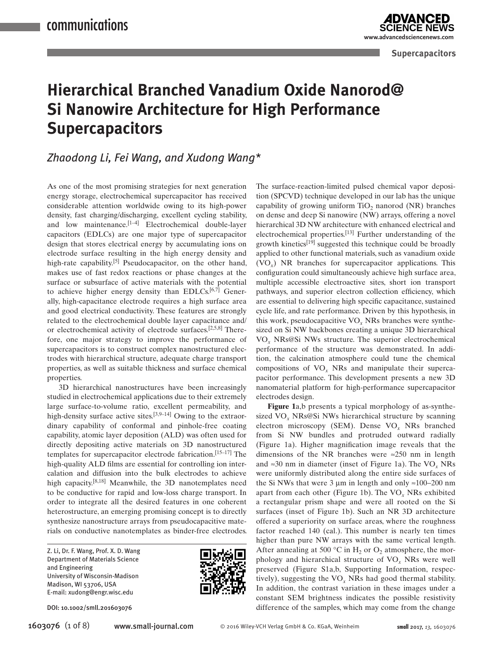**www.advancedsciencenews.com**

**Advanced** 

**Supercapacitors**

# **Hierarchical Branched Vanadium Oxide Nanorod@ Si Nanowire Architecture for High Performance Supercapacitors**

### *Zhaodong Li, Fei Wang, and Xudong Wang\**

As one of the most promising strategies for next generation energy storage, electrochemical supercapacitor has received considerable attention worldwide owing to its high-power density, fast charging/discharging, excellent cycling stability, and low maintenance.<sup>[1-4]</sup> Electrochemical double-layer capacitors (EDLCs) are one major type of supercapacitor design that stores electrical energy by accumulating ions on electrode surface resulting in the high energy density and high-rate capability.<sup>[5]</sup> Pseudocapacitor, on the other hand, makes use of fast redox reactions or phase changes at the surface or subsurface of active materials with the potential to achieve higher energy density than EDLCs.<sup>[6,7]</sup> Generally, high-capacitance electrode requires a high surface area and good electrical conductivity. These features are strongly related to the electrochemical double layer capacitance and/ or electrochemical activity of electrode surfaces.[2,5,8] Therefore, one major strategy to improve the performance of supercapacitors is to construct complex nanostructured electrodes with hierarchical structure, adequate charge transport properties, as well as suitable thickness and surface chemical properties.

3D hierarchical nanostructures have been increasingly studied in electrochemical applications due to their extremely large surface-to-volume ratio, excellent permeability, and high-density surface active sites.<sup>[3,9–14]</sup> Owing to the extraordinary capability of conformal and pinhole-free coating capability, atomic layer deposition (ALD) was often used for directly depositing active materials on 3D nanostructured templates for supercapacitor electrode fabrication.[15–17] The high-quality ALD films are essential for controlling ion intercalation and diffusion into the bulk electrodes to achieve high capacity.[8,18] Meanwhile, the 3D nanotemplates need to be conductive for rapid and low-loss charge transport. In order to integrate all the desired features in one coherent heterostructure, an emerging promising concept is to directly synthesize nanostructure arrays from pseudocapacitive materials on conductive nanotemplates as binder-free electrodes.

Z. Li, Dr. F. Wang, Prof. X. D. Wang Department of Materials Science and Engineering University of Wisconsin-Madison Madison, WI 53706, USA E-mail: xudong@engr.wisc.edu



The surface-reaction-limited pulsed chemical vapor deposition (SPCVD) technique developed in our lab has the unique capability of growing uniform  $TiO<sub>2</sub>$  nanorod (NR) branches on dense and deep Si nanowire (NW) arrays, offering a novel hierarchical 3D NW architecture with enhanced electrical and electrochemical properties.[13] Further understanding of the growth kinetics $^{[19]}$  suggested this technique could be broadly applied to other functional materials, such as vanadium oxide (VO*x*) NR branches for supercapacitor applications. This configuration could simultaneously achieve high surface area, multiple accessible electroactive sites, short ion transport pathways, and superior electron collection efficiency, which are essential to delivering high specific capacitance, sustained cycle life, and rate performance. Driven by this hypothesis, in this work, pseudocapacitive VO*x* NRs branches were synthesized on Si NW backbones creating a unique 3D hierarchical VO*x* NRs@Si NWs structure. The superior electrochemical performance of the structure was demonstrated. In addition, the calcination atmosphere could tune the chemical compositions of VO*x* NRs and manipulate their supercapacitor performance. This development presents a new 3D nanomaterial platform for high-performance supercapacitor electrodes design.

**Figure 1**a,b presents a typical morphology of as-synthesized VO*x* NRs@Si NWs hierarchical structure by scanning electron microscopy (SEM). Dense VO*x* NRs branched from Si NW bundles and protruded outward radially (Figure 1a). Higher magnification image reveals that the dimensions of the NR branches were  $\approx 250$  nm in length and ≈30 nm in diameter (inset of Figure 1a). The VO*x* NRs were uniformly distributed along the entire side surfaces of the Si NWs that were 3 µm in length and only ≈100−200 nm apart from each other (Figure 1b). The VO*x* NRs exhibited a rectangular prism shape and were all rooted on the Si surfaces (inset of Figure 1b). Such an NR 3D architecture offered a superiority on surface areas, where the roughness factor reached 140 (cal.). This number is nearly ten times higher than pure NW arrays with the same vertical length. After annealing at 500 °C in  $H_2$  or  $O_2$  atmosphere, the morphology and hierarchical structure of VO*x* NRs were well preserved (Figure S1a,b, Supporting Information, respectively), suggesting the VO*x* NRs had good thermal stability. In addition, the contrast variation in these images under a constant SEM brightness indicates the possible resistivity DOI: 10.1002/smll.201603076 difference of the samples, which may come from the change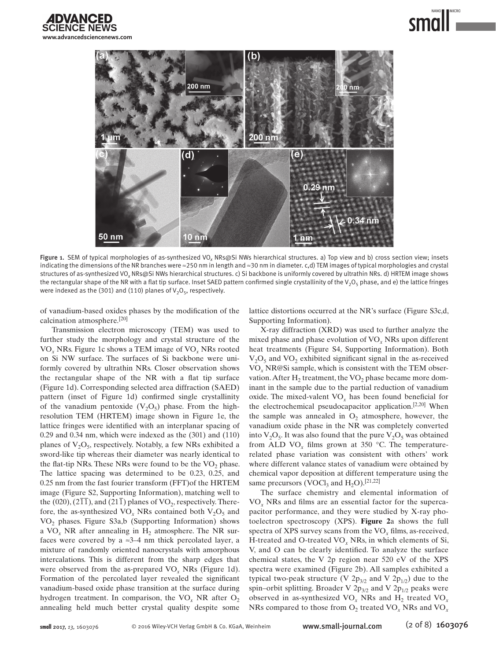



Figure 1. SEM of typical morphologies of as-synthesized VO*x* NRs@Si NWs hierarchical structures. a) Top view and b) cross section view; insets indicating the dimensions of the NR branches were ≈250 nm in length and ≈30 nm in diameter. c,d) TEM images of typical morphologies and crystal structures of as-synthesized VO*x* NRs@Si NWs hierarchical structures. c) Si backbone is uniformly covered by ultrathin NRs. d) HRTEM image shows the rectangular shape of the NR with a flat tip surface. Inset SAED pattern confirmed single crystallinity of the  $V_2O_5$  phase, and e) the lattice fringes were indexed as the (301) and (110) planes of  $V_2O_5$ , respectively.

of vanadium-based oxides phases by the modification of the calcination atmosphere.[20]

Transmission electron microscopy (TEM) was used to further study the morphology and crystal structure of the VO*x* NRs. Figure 1c shows a TEM image of VO*x* NRs rooted on Si NW surface. The surfaces of Si backbone were uniformly covered by ultrathin NRs. Closer observation shows the rectangular shape of the NR with a flat tip surface (Figure 1d). Corresponding selected area diffraction (SAED) pattern (inset of Figure 1d) confirmed single crystallinity of the vanadium pentoxide  $(V_2O_5)$  phase. From the highresolution TEM (HRTEM) image shown in Figure 1e, the lattice fringes were identified with an interplanar spacing of 0.29 and 0.34 nm, which were indexed as the (301) and (110) planes of  $V_2O_5$ , respectively. Notably, a few NRs exhibited a sword-like tip whereas their diameter was nearly identical to the flat-tip NRs. These NRs were found to be the  $VO<sub>2</sub>$  phase. The lattice spacing was determined to be 0.23, 0.25, and 0.25 nm from the fast fourier transform (FFT)of the HRTEM image (Figure S2, Supporting Information), matching well to the (020),  $(2\overline{11})$ , and (21 $\overline{1}$ ) planes of VO<sub>2</sub>, respectively. Therefore, the as-synthesized  $VO<sub>x</sub>$  NRs contained both  $V<sub>2</sub>O<sub>5</sub>$  and VO<sub>2</sub> phases. Figure S3a,b (Supporting Information) shows a  $VO<sub>x</sub> NR$  after annealing in  $H<sub>2</sub>$  atmosphere. The NR surfaces were covered by a  $\approx 3-4$  nm thick percolated layer, a mixture of randomly oriented nanocrystals with amorphous intercalations. This is different from the sharp edges that were observed from the as-prepared VO*x* NRs (Figure 1d). Formation of the percolated layer revealed the significant vanadium-based oxide phase transition at the surface during hydrogen treatment. In comparison, the  $VO<sub>x</sub> NR$  after  $O<sub>2</sub>$ annealing held much better crystal quality despite some lattice distortions occurred at the NR's surface (Figure S3c,d, Supporting Information).

X-ray diffraction (XRD) was used to further analyze the mixed phase and phase evolution of VO*x* NRs upon different heat treatments (Figure S4, Supporting Information). Both  $V<sub>2</sub>O<sub>5</sub>$  and  $VO<sub>2</sub>$  exhibited significant signal in the as-received VO*x* NR@Si sample, which is consistent with the TEM observation. After  $H_2$  treatment, the  $VO_2$  phase became more dominant in the sample due to the partial reduction of vanadium oxide. The mixed-valent VO*x* has been found beneficial for the electrochemical pseudocapacitor application.[2,20] When the sample was annealed in  $O_2$  atmosphere, however, the vanadium oxide phase in the NR was completely converted into  $V_2O_5$ . It was also found that the pure  $V_2O_5$  was obtained from ALD  $VO_x$  films grown at 350 °C. The temperaturerelated phase variation was consistent with others' work where different valance states of vanadium were obtained by chemical vapor deposition at different temperature using the same precursors (VOCl<sub>3</sub> and  $H_2O$ ).<sup>[21,22]</sup>

The surface chemistry and elemental information of VO*x* NRs and films are an essential factor for the supercapacitor performance, and they were studied by X-ray photoelectron spectroscopy (XPS). **Figure 2**a shows the full spectra of XPS survey scans from the VO*x* films, as-received, H-treated and O-treated VO*x* NRs, in which elements of Si, V, and O can be clearly identified. To analyze the surface chemical states, the V 2p region near 520 eV of the XPS spectra were examined (Figure 2b). All samples exhibited a typical two-peak structure (V  $2p_{3/2}$  and V  $2p_{1/2}$ ) due to the spin–orbit splitting. Broader V  $2p_{3/2}$  and V  $2p_{1/2}$  peaks were observed in as-synthesized  $VO<sub>x</sub>$  NRs and  $H<sub>2</sub>$  treated  $VO<sub>x</sub>$ NRs compared to those from  $O_2$  treated  $VO_x$  NRs and  $VO_x$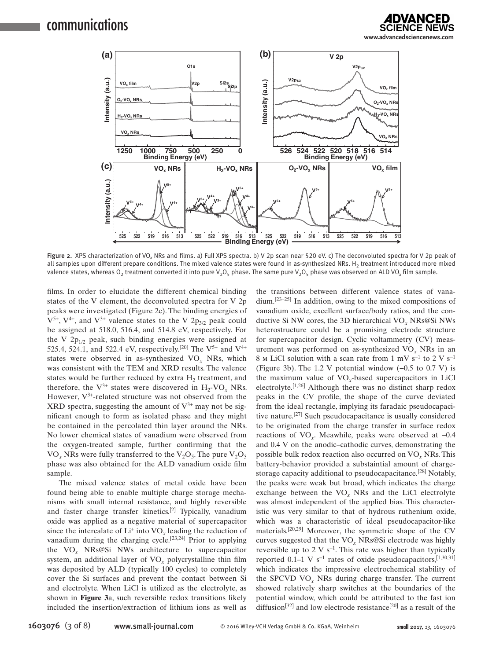



Figure 2. XPS characterization of VO*x* NRs and films. a) Full XPS spectra. b) V 2p scan near 520 eV. c) The deconvoluted spectra for V 2p peak of all samples upon different prepare conditions. The mixed valence states were found in as-synthesized NRs. H<sub>2</sub> treatment introduced more mixed valence states, whereas  $O_2$  treatment converted it into pure  $V_2O_5$  phase. The same pure  $V_2O_5$  phase was observed on ALD VO<sub>x</sub> film sample.

films. In order to elucidate the different chemical binding states of the V element, the deconvoluted spectra for V 2p peaks were investigated (Figure 2c). The binding energies of  $V^{5+}$ ,  $V^{4+}$ , and  $V^{3+}$  valence states to the V 2p<sub>3/2</sub> peak could be assigned at 518.0, 516.4, and 514.8 eV, respectively. For the V  $2p_{1/2}$  peak, such binding energies were assigned at 525.4, 524.1, and 522.4 eV, respectively.<sup>[20]</sup> The  $V^{5+}$  and  $V^{4+}$ states were observed in as-synthesized VO*x* NRs, which was consistent with the TEM and XRD results. The valence states would be further reduced by extra  $H<sub>2</sub>$  treatment, and therefore, the  $V^{3+}$  states were discovered in  $H_2$ -VO<sub>x</sub> NRs. However,  $V^{3+}$ -related structure was not observed from the XRD spectra, suggesting the amount of  $V^{3+}$  may not be significant enough to form as isolated phase and they might be contained in the percolated thin layer around the NRs. No lower chemical states of vanadium were observed from the oxygen-treated sample, further confirming that the  $VO<sub>x</sub> NRs$  were fully transferred to the  $V<sub>2</sub>O<sub>5</sub>$ . The pure  $V<sub>2</sub>O<sub>5</sub>$ phase was also obtained for the ALD vanadium oxide film sample.

The mixed valence states of metal oxide have been found being able to enable multiple charge storage mechanisms with small internal resistance, and highly reversible and faster charge transfer kinetics.[2] Typically, vanadium oxide was applied as a negative material of supercapacitor since the intercalate of  $Li^+$  into  $VO_x$  leading the reduction of vanadium during the charging cycle.[23,24] Prior to applying the VO*x* NRs@Si NWs architecture to supercapacitor system, an additional layer of VO*x* polycrystalline thin film was deposited by ALD (typically 100 cycles) to completely cover the Si surfaces and prevent the contact between Si and electrolyte. When LiCl is utilized as the electrolyte, as shown in **Figure 3**a, such reversible redox transitions likely included the insertion/extraction of lithium ions as well as the transitions between different valence states of vanadium.[23–25] In addition, owing to the mixed compositions of vanadium oxide, excellent surface/body ratios, and the conductive Si NW cores, the 3D hierarchical VO*x* NRs@Si NWs heterostructure could be a promising electrode structure for supercapacitor design. Cyclic voltammetry (CV) measurement was performed on as-synthesized VO*x* NRs in an 8 M LiCl solution with a scan rate from 1 mV s<sup>-1</sup> to 2 V s<sup>-1</sup> (Figure 3b). The 1.2 V potential window (−0.5 to 0.7 V) is the maximum value of VO*x*-based supercapacitors in LiCl electrolyte.[1,26] Although there was no distinct sharp redox peaks in the CV profile, the shape of the curve deviated from the ideal rectangle, implying its faradaic pseudocapacitive nature.[27] Such pseudocapacitance is usually considered to be originated from the charge transfer in surface redox reactions of VO*x*. Meawhile, peaks were observed at −0.4 and 0.4 V on the anodic–cathodic curves, demonstrating the possible bulk redox reaction also occurred on VO*x* NRs. This battery-behavior provided a substaintial amount of chargestorage capacity additional to pseudocapacitance.<sup>[28]</sup> Notably, the peaks were weak but broad, which indicates the charge exchange between the VO*x* NRs and the LiCl electrolyte was almost independent of the applied bias. This characteristic was very similar to that of hydrous ruthenium oxide, which was a characteristic of ideal pseudocapacitor-like materials.[20,29] Moreover, the symmetric shape of the CV curves suggested that the VO*x* NRs@Si electrode was highly reversible up to 2 V s<sup>-1</sup>. This rate was higher than typically reported 0.1–1 V s<sup>−</sup>1 rates of oxide pseudocapacitors,[1,30,31] which indicates the impressive electrochemical stability of the SPCVD VO*x* NRs during charge transfer. The current showed relatively sharp switches at the boundaries of the potential window, which could be attributed to the fast ion diffusion<sup>[32]</sup> and low electrode resistance<sup>[20]</sup> as a result of the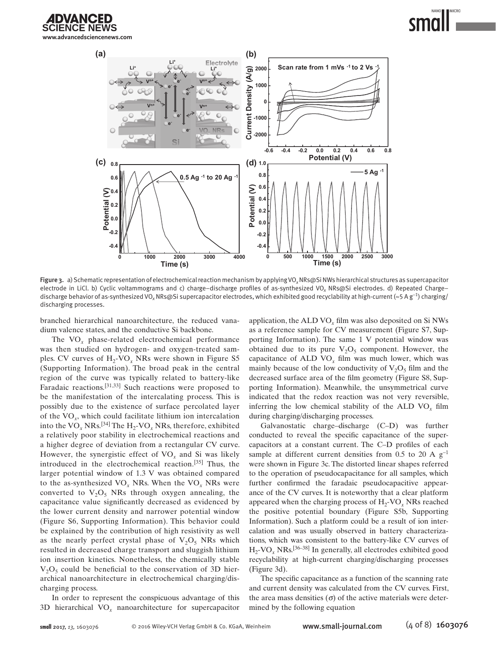**IDVANCED www.advancedsciencenews.com**



Figure 3. a) Schematic representation of electrochemical reaction mechanism by applying VO*x* NRs@Si NWs hierarchical structures as supercapacitor electrode in LiCl. b) Cyclic voltammograms and c) charge–discharge profiles of as-synthesized VO*x* NRs@Si electrodes. d) Repeated Charge– discharge behavior of as-synthesized VO*x* NRs@Si supercapacitor electrodes, which exhibited good recyclability at high-current (≈5 A g<sup>−</sup>1) charging/ discharging processes.

branched hierarchical nanoarchitecture, the reduced vanadium valence states, and the conductive Si backbone.

The VO*x* phase-related electrochemical performance was then studied on hydrogen- and oxygen-treated samples. CV curves of  $H_2$ -VO<sub>x</sub> NRs were shown in Figure S5 (Supporting Information). The broad peak in the central region of the curve was typically related to battery-like Faradaic reactions.[31,33] Such reactions were proposed to be the manifestation of the intercalating process. This is possibly due to the existence of surface percolated layer of the VO*x*, which could facilitate lithium ion intercalation into the  $VO<sub>x</sub> NRs.<sup>[34]</sup>$  The  $H<sub>2</sub>-VO<sub>x</sub> NRs$ , therefore, exhibited a relatively poor stability in electrochemical reactions and a higher degree of deviation from a rectangular CV curve. However, the synergistic effect of  $VO<sub>x</sub>$  and Si was likely introduced in the electrochemical reaction.[35] Thus, the larger potential window of 1.3 V was obtained compared to the as-synthesized VO*x* NRs. When the VO*x* NRs were converted to  $V_2O_5$  NRs through oxygen annealing, the capacitance value significantly decreased as evidenced by the lower current density and narrower potential window (Figure S6, Supporting Information). This behavior could be explained by the contribution of high resistivity as well as the nearly perfect crystal phase of  $V_2O_5$  NRs which resulted in decreased charge transport and sluggish lithium ion insertion kinetics. Nonetheless, the chemically stable  $V_2O_5$  could be beneficial to the conservation of 3D hierarchical nanoarchitecture in electrochemical charging/discharging process.

In order to represent the conspicuous advantage of this 3D hierarchical VO*x* nanoarchitecture for supercapacitor

application, the ALD VO*x* film was also deposited on Si NWs as a reference sample for CV measurement (Figure S7, Supporting Information). The same 1 V potential window was obtained due to its pure  $V_2O_5$  component. However, the capacitance of ALD VO*x* film was much lower, which was mainly because of the low conductivity of  $V_2O_5$  film and the decreased surface area of the film geometry (Figure S8, Supporting Information). Meanwhile, the unsymmetrical curve indicated that the redox reaction was not very reversible, inferring the low chemical stability of the ALD VO*x* film during charging/discharging processes.

Galvanostatic charge–discharge (C–D) was further conducted to reveal the specific capacitance of the supercapacitors at a constant current. The C–D profiles of each sample at different current densities from 0.5 to 20 A  $g^{-1}$ were shown in Figure 3c. The distorted linear shapes referred to the operation of pseudocapacitance for all samples, which further confirmed the faradaic pseudocapacitive appearance of the CV curves. It is noteworthy that a clear platform appeared when the charging process of  $H_2$ -VO<sub>x</sub> NRs reached the positive potential boundary (Figure S5b, Supporting Information). Such a platform could be a result of ion intercalation and was usually observed in battery characterizations, which was consistent to the battery-like CV curves of H2-VO*x* NRs.[36–38] In generally, all electrodes exhibited good recyclability at high-current charging/discharging processes (Figure 3d).

The specific capacitance as a function of the scanning rate and current density was calculated from the CV curves. First, the area mass densities  $\sigma$  of the active materials were determined by the following equation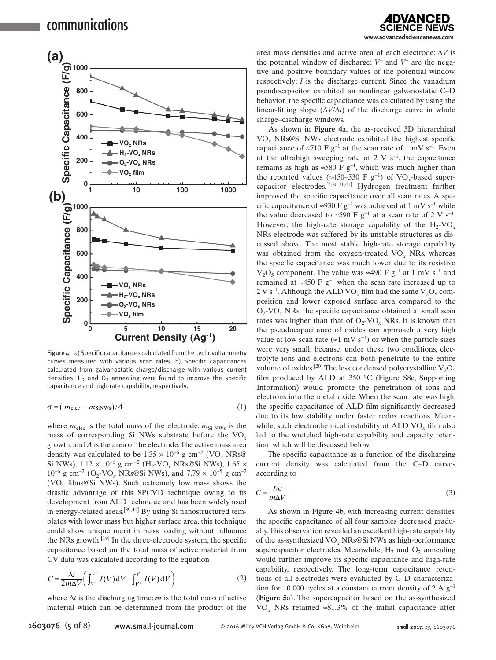

Figure 4. a) Specific capacitances calculated from the cyclic voltammetry curves measured with various scan rates. b) Specific capacitances calculated from galvanostatic charge/discharge with various current densities.  $H_2$  and  $O_2$  annealing were found to improve the specific capacitance and high-rate capability, respectively.

$$
\sigma = (m_{\text{elec}} - m_{\text{SiNWs}})/A \tag{1}
$$

where  $m_{\text{elec}}$  is the total mass of the electrode,  $m_{\text{Si NWs}}$  is the mass of corresponding Si NWs substrate before the VO*<sup>x</sup>* growth, and *A* is the area of the electrode. The active mass area density was calculated to be  $1.35 \times 10^{-6}$  g cm<sup>-2</sup> (VO<sub>x</sub> NRs@ Si NWs),  $1.12 \times 10^{-6}$  g cm<sup>-2</sup> (H<sub>2</sub>-VO<sub>x</sub> NRs@Si NWs),  $1.65 \times$  $10^{-6}$  g cm<sup>-2</sup> (O<sub>2</sub>-VO<sub>x</sub> NRs@Si NWs), and 7.79 × 10<sup>-5</sup> g cm<sup>-2</sup> (VO*x* films@Si NWs). Such extremely low mass shows the drastic advantage of this SPCVD technique owing to its development from ALD technique and has been widely used in energy-related areas.[39,40] By using Si nanostructured templates with lower mass but higher surface area, this technique could show unique merit in mass loading without influence the NRs growth.[19] In the three-electrode system, the specific capacitance based on the total mass of active material from CV data was calculated according to the equation

$$
C = \frac{\Delta t}{2m\Delta V} \bigg( \int_{V^{-}}^{V^{+}} I(V) \, \mathrm{d}V - \int_{V^{+}}^{V^{-}} I(V) \, \mathrm{d}V \bigg) \tag{2}
$$

where  $\Delta t$  is the discharging time; *m* is the total mass of active material which can be determined from the product of the

DVANCED **www.advancedsciencenews.com**

area mass densities and active area of each electrode; Δ*V* is the potential window of discharge; *V*− and *V*+ are the negative and positive boundary values of the potential window, respectively; *I* is the discharge current. Since the vanadium pseudocapacitor exhibited an nonlinear galvanostatic C–D behavior, the specific capacitance was calculated by using the linear-fitting slope (∆*V*/∆*t*) of the discharge curve in whole charge–discharge windows.

As shown in **Figure 4**a, the as-received 3D hierarchical VO*x* NRs@Si NWs electrode exhibited the highest specific capacitance of ≈710 F  $g^{-1}$  at the scan rate of 1 mV s<sup>-1</sup>. Even at the ultrahigh sweeping rate of 2 V s<sup>-1</sup>, the capacitance remains as high as  $\approx$ 580 F g<sup>-1</sup>, which was much higher than the reported values (≈450–530 F  $g^{-1}$ ) of VO<sub>x</sub>-based supercapacitor electrodes.[5,20,31,41] Hydrogen treatment further improved the specific capacitance over all scan rates. A specific capacitance of ≈930 F  $g^{-1}$  was achieved at 1 mV s<sup>-1</sup> while the value decreased to ≈590 F  $g^{-1}$  at a scan rate of 2 V s<sup>-1</sup>. However, the high-rate storage capability of the  $H_2$ -VO<sub>x</sub> NRs electrode was suffered by its unstable structures as discussed above. The most stable high-rate storage capability was obtained from the oxygen-treated VO*x* NRs, whereas the specific capacitance was much lower due to its resistive  $V_2O_5$  component. The value was ≈490 F  $g^{-1}$  at 1 mV s<sup>-1</sup> and remained at ≈450 F  $g^{-1}$  when the scan rate increased up to  $2 \text{ V s}^{-1}$ . Although the ALD VO<sub>x</sub> film had the same V<sub>2</sub>O<sub>5</sub> composition and lower exposed surface area compared to the  $O_2$ -VO<sub>x</sub> NRs, the specific capacitance obtained at small scan rates was higher than that of  $O_2$ -VO<sub>x</sub> NRs. It is known that the pseudocapacitance of oxides can approach a very high value at low scan rate (≈1 mV s<sup>-1</sup>) or when the particle sizes were very small, because, under these two conditions, electrolyte ions and electrons can both penetrate to the entire volume of oxides.<sup>[20]</sup> The less condensed polycrystalline  $V_2O_5$ film produced by ALD at 350 °C (Figure S8c, Supporting Information) would promote the penetration of ions and electrons into the metal oxide. When the scan rate was high, the specific capacitance of ALD film significantly decreased due to its low stability under faster redox reactions. Meanwhile, such electrochemical instability of ALD VO<sub>x</sub> film also led to the wretched high-rate capability and capacity retention, which will be discussed below.

The specific capacitance as a function of the discharging current density was calculated from the C–D curves according to

$$
C = \frac{I\Delta t}{m\Delta V} \tag{3}
$$

As shown in Figure 4b, with increasing current densities, the specific capacitance of all four samples decreased gradually. This observation revealed an excellent high-rate capability of the as-synthesized VO*x* NRs@Si NWs as high-performance supercapacitor electrodes. Meanwhile,  $H_2$  and  $O_2$  annealing would further improve its specific capacitance and high-rate capability, respectively. The long-term capacitance retentions of all electrodes were evaluated by C–D characterization for 10 000 cycles at a constant current density of 2 A  $g^{-1}$ (**Figure 5**a). The supercapacitor based on the as-synthesized VO<sub>x</sub> NRs retained ≈81.3% of the initial capacitance after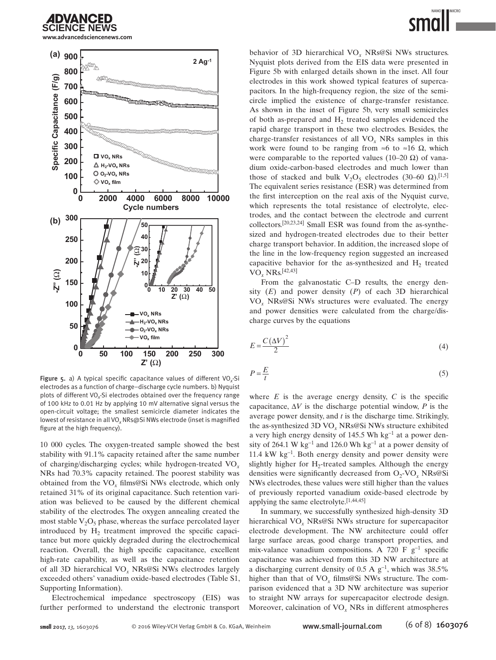

**www.advancedsciencenews.com**



Figure 5. a) A typical specific capacitance values of different VO*x*-Si electrodes as a function of charge–discharge cycle numbers. b) Nyquist plots of different VO*x*-Si electrodes obtained over the frequency range of 100 kHz to 0.01 Hz by applying 10 mV alternative signal versus the open-circuit voltage; the smallest semicircle diameter indicates the lowest of resistance in all VO*x* NRs@Si NWs electrode (inset is magnified figure at the high frequency).

10 000 cycles. The oxygen-treated sample showed the best stability with 91.1% capacity retained after the same number of charging/discharging cycles; while hydrogen-treated VO*<sup>x</sup>* NRs had 70.3% capacity retained. The poorest stability was obtained from the VO*x* films@Si NWs electrode, which only retained 31% of its original capacitance. Such retention variation was believed to be caused by the different chemical stability of the electrodes. The oxygen annealing created the most stable  $V_2O_5$  phase, whereas the surface percolated layer introduced by  $H<sub>2</sub>$  treatment improved the specific capacitance but more quickly degraded during the electrochemical reaction. Overall, the high specific capacitance, excellent high-rate capability, as well as the capacitance retention of all 3D hierarchical VO*x* NRs@Si NWs electrodes largely exceeded others' vanadium oxide-based electrodes (Table S1, Supporting Information).

Electrochemical impedance spectroscopy (EIS) was further performed to understand the electronic transport behavior of 3D hierarchical VO*x* NRs@Si NWs structures. Nyquist plots derived from the EIS data were presented in Figure 5b with enlarged details shown in the inset. All four electrodes in this work showed typical features of supercapacitors. In the high-frequency region, the size of the semicircle implied the existence of charge-transfer resistance. As shown in the inset of Figure 5b, very small semicircles of both as-prepared and  $H<sub>2</sub>$  treated samples evidenced the rapid charge transport in these two electrodes. Besides, the charge-transfer resistances of all VO*x* NRs samples in this work were found to be ranging from ≈6 to ≈16  $\Omega$ , which were comparable to the reported values (10–20  $\Omega$ ) of vanadium oxide-carbon-based electrodes and much lower than those of stacked and bulk  $V_2O_5$  electrodes (30–60 Ω).<sup>[1,5]</sup> The equivalent series resistance (ESR) was determined from the first interception on the real axis of the Nyquist curve, which represents the total resistance of electrolyte, electrodes, and the contact between the electrode and current collectors.[20,23,24] Small ESR was found from the as-synthesized and hydrogen-treated electrodes due to their better charge transport behavior. In addition, the increased slope of the line in the low-frequency region suggested an increased capacitive behavior for the as-synthesized and  $H<sub>2</sub>$  treated VO*x* NRs.[42,43]

From the galvanostatic C–D results, the energy density (*E*) and power density (*P*) of each 3D hierarchical VO*x* NRs@Si NWs structures were evaluated. The energy and power densities were calculated from the charge/discharge curves by the equations

$$
E = \frac{C(\Delta V)^2}{2} \tag{4}
$$

$$
P = \frac{E}{t} \tag{5}
$$

where  $E$  is the average energy density,  $C$  is the specific capacitance,  $\Delta V$  is the discharge potential window, *P* is the average power density, and *t* is the discharge time. Strikingly, the as-synthesized 3D VO*x* NRs@Si NWs structure exhibited a very high energy density of 145.5 Wh kg<sup>-1</sup> at a power density of 264.1 W kg<sup>-1</sup> and 126.0 Wh kg<sup>-1</sup> at a power density of 11.4 kW kg−<sup>1</sup> . Both energy density and power density were slightly higher for  $H_2$ -treated samples. Although the energy densities were significantly decreased from O<sub>2</sub>-VO<sub>x</sub> NRs@Si NWs electrodes, these values were still higher than the values of previously reported vanadium oxide-based electrode by applying the same electrolyte.[1,44,45]

In summary, we successfully synthesized high-density 3D hierarchical VO*x* NRs@Si NWs structure for supercapacitor electrode development. The NW architecture could offer large surface areas, good charge transport properties, and mix-valance vanadium compositions. A 720 F  $g^{-1}$  specific capacitance was achieved from this 3D NW architecture at a discharging current density of 0.5 A  $g^{-1}$ , which was 38.5% higher than that of VO*x* films@Si NWs structure. The comparison evidenced that a 3D NW architecture was superior to straight NW arrays for supercapacitor electrode design. Moreover, calcination of VO*x* NRs in different atmospheres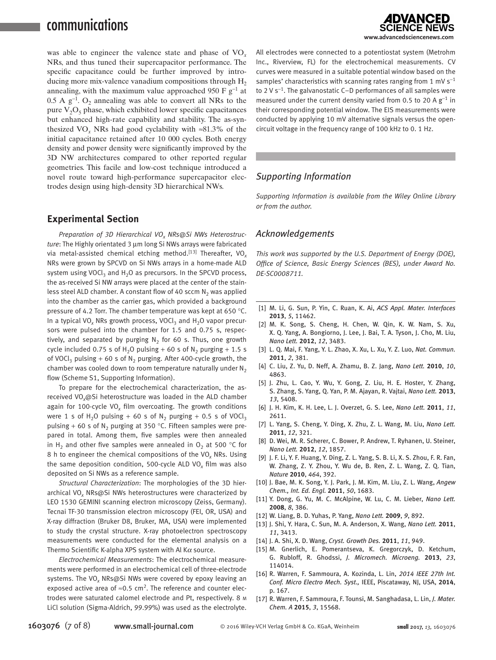## communications

was able to engineer the valence state and phase of VO*<sup>x</sup>* NRs, and thus tuned their supercapacitor performance. The specific capacitance could be further improved by introducing more mix-valence vanadium compositions through  $H_2$ annealing, with the maximum value approached 950 F  $g^{-1}$  at 0.5 A  $g^{-1}$ . O<sub>2</sub> annealing was able to convert all NRs to the pure  $V_2O_5$  phase, which exhibited lower specific capacitances but enhanced high-rate capability and stability. The as-synthesized VO<sub>x</sub> NRs had good cyclability with ≈81.3% of the initial capacitance retained after 10 000 cycles. Both energy density and power density were significantly improved by the 3D NW architectures compared to other reported regular geometries. This facile and low-cost technique introduced a novel route toward high-performance supercapacitor electrodes design using high-density 3D hierarchical NWs.

#### **Experimental Section**

Preparation of 3D Hierarchical VO<sub>x</sub> NRs@Si NWs Heterostruc*ture*: The Highly orientated 3 µm long Si NWs arrays were fabricated via metal-assisted chemical etching method.<sup>[13]</sup> Thereafter, VO<sub>x</sub> NRs were grown by SPCVD on Si NWs arrays in a home-made ALD system using VOCl<sub>3</sub> and  $H_2O$  as precursors. In the SPCVD process, the as-received Si NW arrays were placed at the center of the stainless steel ALD chamber. A constant flow of 40 sccm  $N<sub>2</sub>$  was applied into the chamber as the carrier gas, which provided a background pressure of 4.2 Torr. The chamber temperature was kept at 650 °C. In a typical VO<sub>x</sub> NRs growth process, VOCl<sub>3</sub> and  $H_2O$  vapor precursors were pulsed into the chamber for 1.5 and 0.75 s, respectively, and separated by purging  $N<sub>2</sub>$  for 60 s. Thus, one growth cycle included 0.75 s of H<sub>2</sub>O pulsing + 60 s of N<sub>2</sub> purging + 1.5 s of VOCl<sub>3</sub> pulsing + 60 s of N<sub>2</sub> purging. After 400-cycle growth, the chamber was cooled down to room temperature naturally under  $N_2$ flow (Scheme S1, Supporting Information).

To prepare for the electrochemical characterization, the asreceived VO*x*@Si heterostructure was loaded in the ALD chamber again for 100-cycle VO*x* film overcoating. The growth conditions were 1 s of H<sub>2</sub>O pulsing + 60 s of N<sub>2</sub> purging + 0.5 s of VOCl<sub>3</sub> pulsing + 60 s of N<sub>2</sub> purging at 350 °C. Fifteen samples were prepared in total. Among them, five samples were then annealed in H<sub>2</sub> and other five samples were annealed in  $O_2$  at 500 °C for 8 h to engineer the chemical compositions of the VO*x* NRs. Using the same deposition condition, 500-cycle ALD VO*x* film was also deposited on Si NWs as a reference sample.

*Structural Characterization*: The morphologies of the 3D hierarchical VO*x* NRs@Si NWs heterostructures were characterized by LEO 1530 GEMINI scanning electron microscopy (Zeiss, Germany). Tecnai TF-30 transmission electron microscopy (FEI, OR, USA) and X-ray diffraction (Bruker D8, Bruker, MA, USA) were implemented to study the crystal structure. X-ray photoelectron spectroscopy measurements were conducted for the elemental analysis on a Thermo Scientific K-alpha XPS system with Al K $\alpha$  source.

*Electrochemical Measurements*: The electrochemical measurements were performed in an electrochemical cell of three-electrode systems. The VO*x* NRs@Si NWs were covered by epoxy leaving an exposed active area of  $\approx$ 0.5 cm<sup>2</sup>. The reference and counter electrodes were saturated calomel electrode and Pt, respectively. 8 m LiCl solution (Sigma-Aldrich, 99.99%) was used as the electrolyte.



All electrodes were connected to a potentiostat system (Metrohm Inc., Riverview, FL) for the electrochemical measurements. CV curves were measured in a suitable potential window based on the samples' characteristics with scanning rates ranging from 1 mV  $s^{-1}$ to 2 V s<sup>−</sup>1. The galvanostatic C–D performances of all samples were measured under the current density varied from 0.5 to 20 A  $g^{-1}$  in their corresponding potential window. The EIS measurements were conducted by applying 10 mV alternative signals versus the opencircuit voltage in the frequency range of 100 kHz to 0. 1 Hz.

#### *Supporting Information*

*Supporting Information is available from the Wiley Online Library or from the author.*

#### *Acknowledgements*

*This work was supported by the U.S. Department of Energy (DOE), Office of Science, Basic Energy Sciences (BES), under Award No. DE-SC0008711.*

- [1] M. Li, G. Sun, P. Yin, C. Ruan, K. Ai, *ACS Appl. Mater. Interfaces* **2013**, *5*, 11462.
- [2] M. K. Song, S. Cheng, H. Chen, W. Qin, K. W. Nam, S. Xu, X. Q. Yang, A. Bongiorno, J. Lee, J. Bai, T. A. Tyson, J. Cho, M. Liu, *Nano Lett.* **2012**, *12*, 3483.
- [3] L. Q. Mai, F. Yang, Y. L. Zhao, X. Xu, L. Xu, Y. Z. Luo, *Nat. Commun.* **2011**, *2*, 381.
- [4] C. Liu, Z. Yu, D. Neff, A. Zhamu, B. Z. Jang, *Nano Lett.* **2010**, *10*, 4863.
- [5] J. Zhu, L. Cao, Y. Wu, Y. Gong, Z. Liu, H. E. Hoster, Y. Zhang, S. Zhang, S. Yang, Q. Yan, P. M. Ajayan, R. Vajtai, *Nano Lett.* **2013**, *13*, 5408.
- [6] J. H. Kim, K. H. Lee, L. J. Overzet, G. S. Lee, *Nano Lett.* **2011**, *11*, 2611.
- [7] L. Yang, S. Cheng, Y. Ding, X. Zhu, Z. L. Wang, M. Liu, *Nano Lett.* **2011**, *12*, 321.
- [8] D. Wei, M. R. Scherer, C. Bower, P. Andrew, T. Ryhanen, U. Steiner, *Nano Lett.* **2012**, *12*, 1857.
- [9] J. F. Li, Y. F. Huang, Y. Ding, Z. L. Yang, S. B. Li, X. S. Zhou, F. R. Fan, W. Zhang, Z. Y. Zhou, Y. Wu de, B. Ren, Z. L. Wang, Z. Q. Tian, *Nature* **2010**, *464*, 392.
- [10] J. Bae, M. K. Song, Y. J. Park, J. M. Kim, M. Liu, Z. L. Wang, *Angew Chem., Int. Ed. Engl.* **2011**, *50*, 1683.
- [11] Y. Dong, G. Yu, M. C. McAlpine, W. Lu, C. M. Lieber, *Nano Lett.* **2008**, *8*, 386.
- [12] W. Liang, B. D. Yuhas, P. Yang, *Nano Lett.* **2009**, *9*, 892.
- [13] J. Shi, Y. Hara, C. Sun, M. A. Anderson, X. Wang, *Nano Lett.* **2011**, *11*, 3413.
- [14] J. A. Shi, X. D. Wang, *Cryst. Growth Des.* **2011**, *11*, 949.
- [15] M. Gnerlich, E. Pomerantseva, K. Gregorczyk, D. Ketchum, G. Rubloff, R. Ghodssi, *J. Micromech. Microeng.* **2013**, *23*, 114014.
- [16] R. Warren, F. Sammoura, A. Kozinda, L. Lin, *2014 IEEE 27th Int. Conf. Micro Electro Mech. Syst.,* IEEE, Piscataway, NJ, USA, **2014**, p. 167.
- [17] R. Warren, F. Sammoura, F. Tounsi, M. Sanghadasa, L. Lin, *J. Mater. Chem. A* **2015**, *3*, 15568.